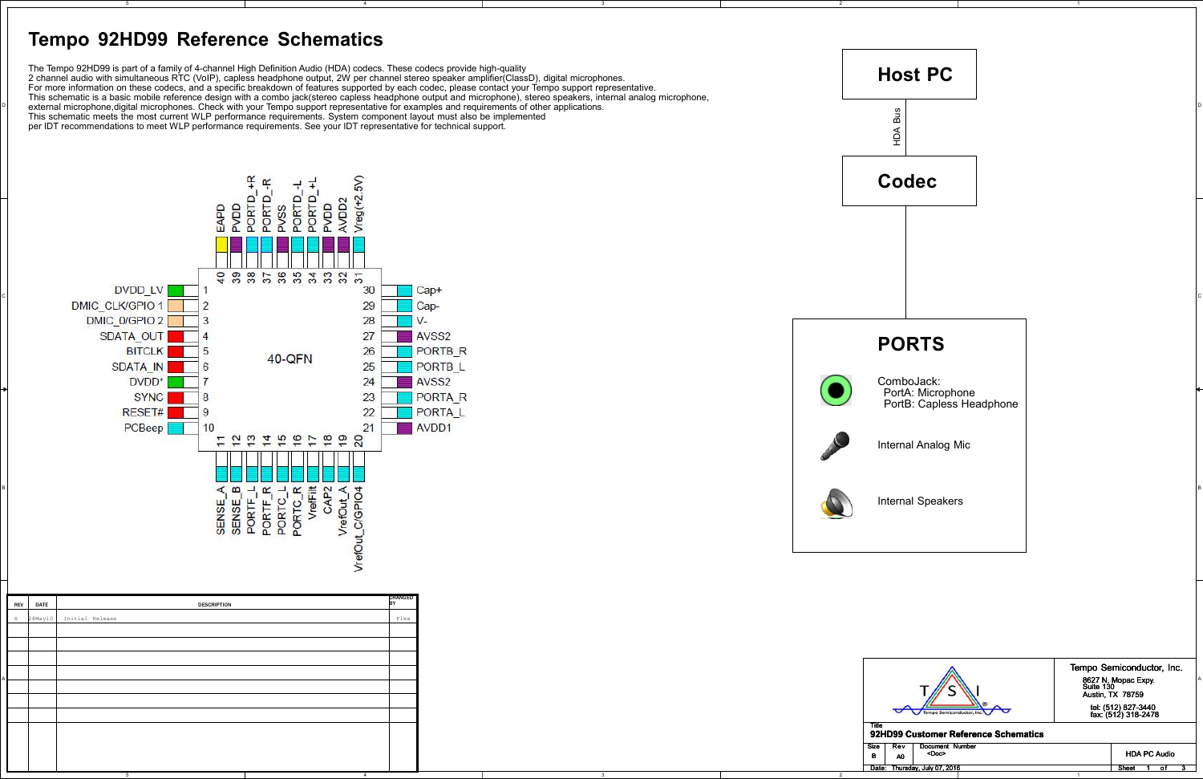5



4

 $\begin{array}{c} \mathsf{P} \end{array}$  external microphone,digital microphones. Check with your Tempo support representative for examples and requirements of other applications.  $\begin{array}{c} \mathsf{P} \end{array}$  and the controller of the controller of

4

2

2

D

 $\frac{1}{\sqrt{2}}$ S<sub>2</sub> œ PORTD\_-<br>PORTD\_-PORTD\_<br>PORTD\_<br>PVDD  $Vreg(+2.5)$ AVDD2 EAPD<br>PV<sub>OD</sub> vss á **ទួ** នួ នួ នួ នួ នួ នួ នួ នួ DVDD LV 30 <u>c</u> and the contract of the contract of the contract of the contract of the contract of the contract of the contract of the contract of the contract of the contract of the contract of the contract of the contract of the co 28 DMIC 0/GPIO 2 3  $V -$ SDATA OUT 27 AVSS<sub>2</sub>  $\boldsymbol{\Delta}$ 26 **BITCLK** 5 PORTB<sub>R</sub> **40-QFN** 25 PORTB L SDATA IN 6  $24$ AVSS<sub>2</sub> DVDD<sup>\*</sup> 23 **PORTA R SYNC** 22 PORTA L RESET# 9 PCBeep 21 AVDD<sub>1</sub> 10 pp t pp pp pp H 20 <sup>B</sup> CHANGEDDESCRIPTION

| REV DATE | <b>DESCRIPTION</b>        |                                                                                                                      |
|----------|---------------------------|----------------------------------------------------------------------------------------------------------------------|
|          | X 28May10 Initial Release |                                                                                                                      |
|          |                           |                                                                                                                      |
|          |                           |                                                                                                                      |
|          |                           |                                                                                                                      |
|          |                           | Tempo Semiconductor, Inc.                                                                                            |
|          |                           | 8627 N. Mopac Expy.<br>Suite 130<br>Austin, TX 78759                                                                 |
|          |                           |                                                                                                                      |
|          |                           | tel: (512) 827-3440<br>fax: (512) 318-2478<br>Tempo Semiconductor, Inc.                                              |
|          |                           | Title<br>92HD99 Customer Reference Schematics                                                                        |
|          |                           |                                                                                                                      |
|          |                           | Document Number<br>  Size<br>Rev<br><b>HDA PC Audio</b><br><doc><br/><math>\mathbf{B}</math><br/>A<sub>0</sub></doc> |
|          |                           | Date: Thursday, July 07, 2016<br>Sheet 1 of 3<br>——                                                                  |

The Tempo 92HD99 is part of a family of 4-channel High Definition Audio (HDA) codecs. These codecs provide high-quality

2 channel audio with simultaneous RTC (VoIP), capless headphone output, 2W per channel stereo speaker amplifier(ClassD), digital microphones.<br>For more information on these codecs, and a specific breakdown of features suppo

This schematic is a basic mobile reference design with a combo jack(stereo capless headphone output and microphone), stereo speakers, internal analog microphone,

per IDT recommendations to meet WLP performance requirements. See your IDT representative for technical support.

## **Tempo 92HD99 Reference Schematics**

5

# **Host PC**HDA Bus  $\widetilde{P}$ **CodecPORTS**ComboJack: PortA: Microphone PortB: Capless HeadphoneInternal Analog MicInternal Speakers





### **92HD99 Customer Reference Schematics**

| Size<br>в | Rev<br>A0 | Document Number<br><doc></doc> |  |       | <b>HDA PC Audio</b> |  |
|-----------|-----------|--------------------------------|--|-------|---------------------|--|
| Date:     |           | Thursday, July 07, 2016        |  | Sheet |                     |  |
|           |           |                                |  |       |                     |  |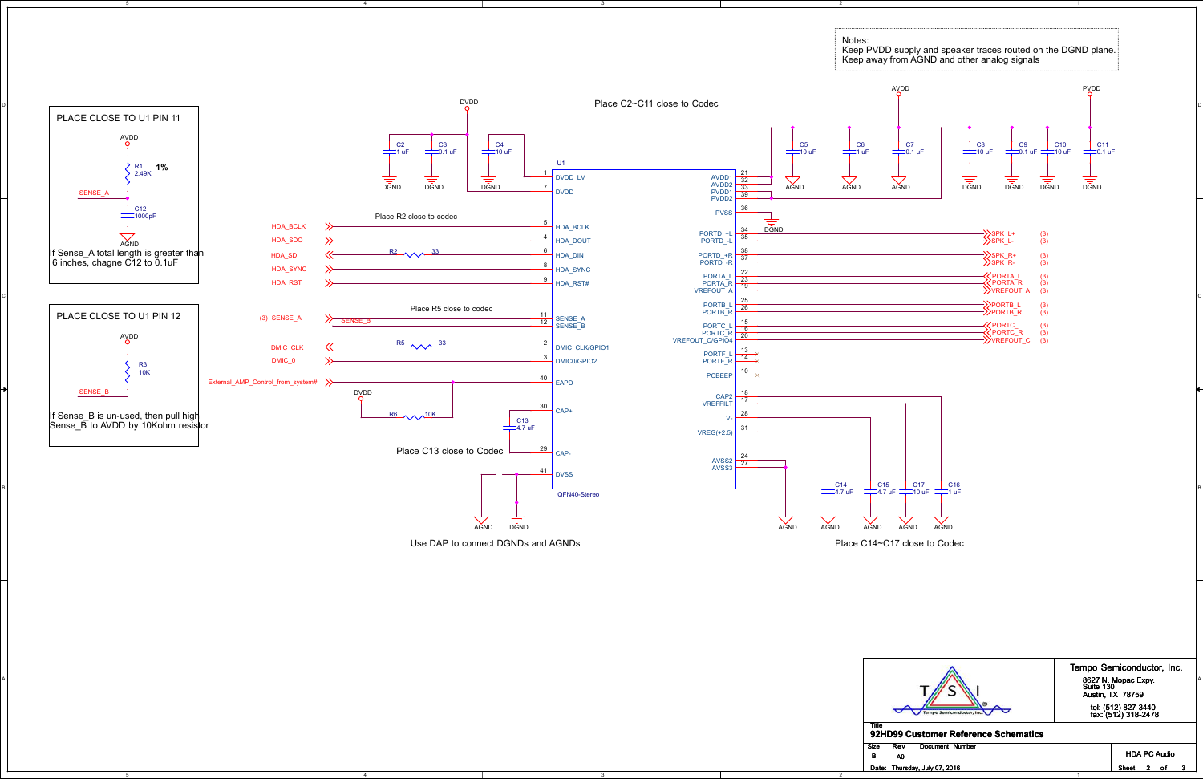5

4

4

5

2

2

D

Place C14~C17 close to Codec



Use DAP to connect DGNDs and AGNDs

|                                           | Tempo Semiconductor, Inc.                           |
|-------------------------------------------|-----------------------------------------------------|
| $\mathbb{Z}$<br>--<br>$\overline{m}$      | 8627 N. Mopac Expy<br>Suite 130<br>Austin, TX 78759 |
| $\tau$                                    | tel: (512) 827-3440<br>fax: (512) 318-2478          |
| w<br>92HD99 Customer Reference Schematics |                                                     |

| Size<br>в                        | Rev<br>A0 | Document Number |  |  |  |       |  |  | <b>HDA PC Audio</b> |  |
|----------------------------------|-----------|-----------------|--|--|--|-------|--|--|---------------------|--|
| Thursday, July 07, 2016<br>Date: |           |                 |  |  |  | Sheet |  |  |                     |  |
|                                  |           |                 |  |  |  |       |  |  |                     |  |

#### **92HD99 Customer Reference Schematics**

B